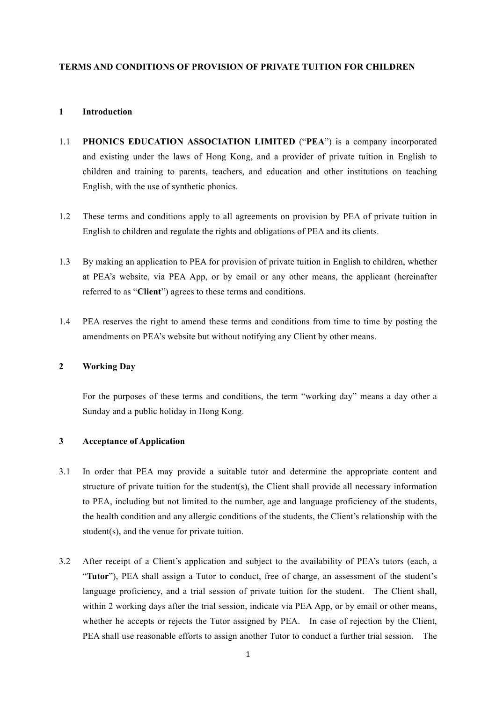#### **TERMS AND CONDITIONS OF PROVISION OF PRIVATE TUITION FOR CHILDREN**

### **1 Introduction**

- 1.1 **PHONICS EDUCATION ASSOCIATION LIMITED** ("**PEA**") is a company incorporated and existing under the laws of Hong Kong, and a provider of private tuition in English to children and training to parents, teachers, and education and other institutions on teaching English, with the use of synthetic phonics.
- 1.2 These terms and conditions apply to all agreements on provision by PEA of private tuition in English to children and regulate the rights and obligations of PEA and its clients.
- 1.3 By making an application to PEA for provision of private tuition in English to children, whether at PEA's website, via PEA App, or by email or any other means, the applicant (hereinafter referred to as "**Client**") agrees to these terms and conditions.
- 1.4 PEA reserves the right to amend these terms and conditions from time to time by posting the amendments on PEA's website but without notifying any Client by other means.

# **2 Working Day**

For the purposes of these terms and conditions, the term "working day" means a day other a Sunday and a public holiday in Hong Kong.

# **3 Acceptance of Application**

- 3.1 In order that PEA may provide a suitable tutor and determine the appropriate content and structure of private tuition for the student(s), the Client shall provide all necessary information to PEA, including but not limited to the number, age and language proficiency of the students, the health condition and any allergic conditions of the students, the Client's relationship with the student(s), and the venue for private tuition.
- 3.2 After receipt of a Client's application and subject to the availability of PEA's tutors (each, a "**Tutor**"), PEA shall assign a Tutor to conduct, free of charge, an assessment of the student's language proficiency, and a trial session of private tuition for the student. The Client shall, within 2 working days after the trial session, indicate via PEA App, or by email or other means, whether he accepts or rejects the Tutor assigned by PEA. In case of rejection by the Client, PEA shall use reasonable efforts to assign another Tutor to conduct a further trial session. The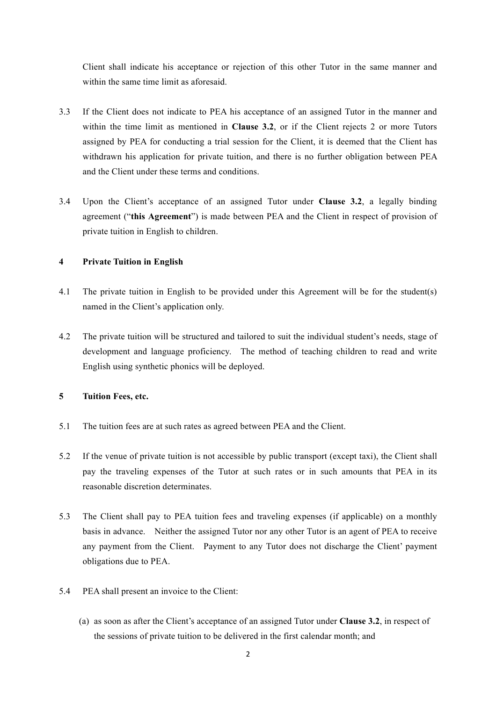Client shall indicate his acceptance or rejection of this other Tutor in the same manner and within the same time limit as aforesaid.

- 3.3 If the Client does not indicate to PEA his acceptance of an assigned Tutor in the manner and within the time limit as mentioned in **Clause 3.2**, or if the Client rejects 2 or more Tutors assigned by PEA for conducting a trial session for the Client, it is deemed that the Client has withdrawn his application for private tuition, and there is no further obligation between PEA and the Client under these terms and conditions.
- 3.4 Upon the Client's acceptance of an assigned Tutor under **Clause 3.2**, a legally binding agreement ("**this Agreement**") is made between PEA and the Client in respect of provision of private tuition in English to children.

# **4 Private Tuition in English**

- 4.1 The private tuition in English to be provided under this Agreement will be for the student(s) named in the Client's application only.
- 4.2 The private tuition will be structured and tailored to suit the individual student's needs, stage of development and language proficiency. The method of teaching children to read and write English using synthetic phonics will be deployed.

# **5 Tuition Fees, etc.**

- 5.1 The tuition fees are at such rates as agreed between PEA and the Client.
- 5.2 If the venue of private tuition is not accessible by public transport (except taxi), the Client shall pay the traveling expenses of the Tutor at such rates or in such amounts that PEA in its reasonable discretion determinates.
- 5.3 The Client shall pay to PEA tuition fees and traveling expenses (if applicable) on a monthly basis in advance. Neither the assigned Tutor nor any other Tutor is an agent of PEA to receive any payment from the Client. Payment to any Tutor does not discharge the Client' payment obligations due to PEA.
- 5.4 PEA shall present an invoice to the Client:
	- (a) as soon as after the Client's acceptance of an assigned Tutor under **Clause 3.2**, in respect of the sessions of private tuition to be delivered in the first calendar month; and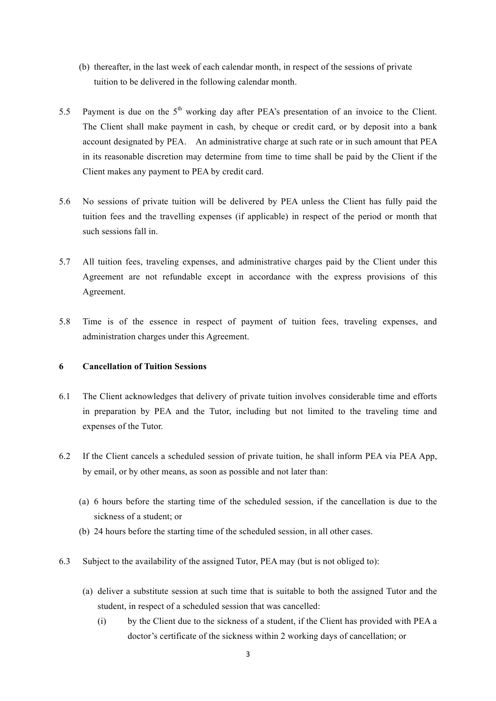- (b) thereafter, in the last week of each calendar month, in respect of the sessions of private tuition to be delivered in the following calendar month.
- 5.5 Payment is due on the  $5<sup>th</sup>$  working day after PEA's presentation of an invoice to the Client. The Client shall make payment in cash, by cheque or credit card, or by deposit into a bank account designated by PEA. An administrative charge at such rate or in such amount that PEA in its reasonable discretion may determine from time to time shall be paid by the Client if the Client makes any payment to PEA by credit card.
- 5.6 No sessions of private tuition will be delivered by PEA unless the Client has fully paid the tuition fees and the travelling expenses (if applicable) in respect of the period or month that such sessions fall in.
- 5.7 All tuition fees, traveling expenses, and administrative charges paid by the Client under this Agreement are not refundable except in accordance with the express provisions of this Agreement.
- 5.8 Time is of the essence in respect of payment of tuition fees, traveling expenses, and administration charges under this Agreement.

# **6 Cancellation of Tuition Sessions**

- 6.1 The Client acknowledges that delivery of private tuition involves considerable time and efforts in preparation by PEA and the Tutor, including but not limited to the traveling time and expenses of the Tutor.
- 6.2 If the Client cancels a scheduled session of private tuition, he shall inform PEA via PEA App, by email, or by other means, as soon as possible and not later than:
	- (a) 6 hours before the starting time of the scheduled session, if the cancellation is due to the sickness of a student; or
	- (b) 24 hours before the starting time of the scheduled session, in all other cases.
- 6.3 Subject to the availability of the assigned Tutor, PEA may (but is not obliged to):
	- (a) deliver a substitute session at such time that is suitable to both the assigned Tutor and the student, in respect of a scheduled session that was cancelled:
		- (i) by the Client due to the sickness of a student, if the Client has provided with PEA a doctor's certificate of the sickness within 2 working days of cancellation; or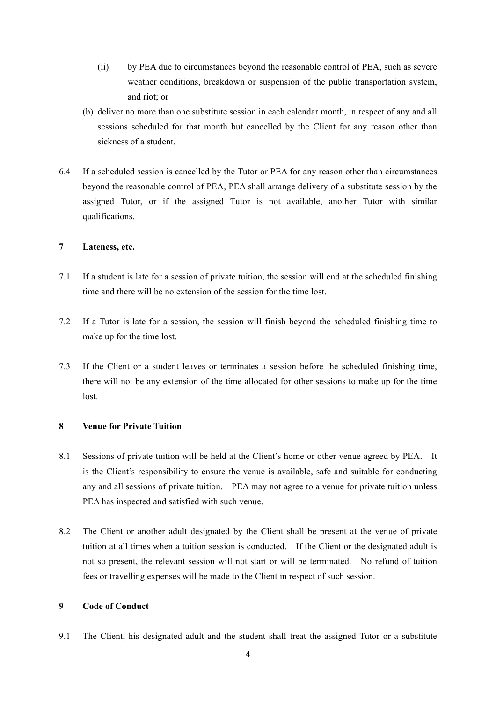- (ii) by PEA due to circumstances beyond the reasonable control of PEA, such as severe weather conditions, breakdown or suspension of the public transportation system, and riot; or
- (b) deliver no more than one substitute session in each calendar month, in respect of any and all sessions scheduled for that month but cancelled by the Client for any reason other than sickness of a student.
- 6.4 If a scheduled session is cancelled by the Tutor or PEA for any reason other than circumstances beyond the reasonable control of PEA, PEA shall arrange delivery of a substitute session by the assigned Tutor, or if the assigned Tutor is not available, another Tutor with similar qualifications.

# **7 Lateness, etc.**

- 7.1 If a student is late for a session of private tuition, the session will end at the scheduled finishing time and there will be no extension of the session for the time lost.
- 7.2 If a Tutor is late for a session, the session will finish beyond the scheduled finishing time to make up for the time lost.
- 7.3 If the Client or a student leaves or terminates a session before the scheduled finishing time, there will not be any extension of the time allocated for other sessions to make up for the time lost.

# **8 Venue for Private Tuition**

- 8.1 Sessions of private tuition will be held at the Client's home or other venue agreed by PEA. It is the Client's responsibility to ensure the venue is available, safe and suitable for conducting any and all sessions of private tuition. PEA may not agree to a venue for private tuition unless PEA has inspected and satisfied with such venue.
- 8.2 The Client or another adult designated by the Client shall be present at the venue of private tuition at all times when a tuition session is conducted. If the Client or the designated adult is not so present, the relevant session will not start or will be terminated. No refund of tuition fees or travelling expenses will be made to the Client in respect of such session.

# **9 Code of Conduct**

9.1 The Client, his designated adult and the student shall treat the assigned Tutor or a substitute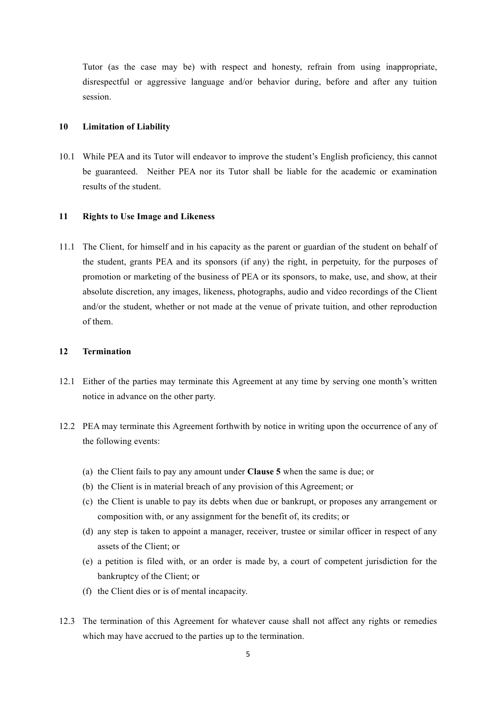Tutor (as the case may be) with respect and honesty, refrain from using inappropriate, disrespectful or aggressive language and/or behavior during, before and after any tuition session.

### **10 Limitation of Liability**

10.1 While PEA and its Tutor will endeavor to improve the student's English proficiency, this cannot be guaranteed. Neither PEA nor its Tutor shall be liable for the academic or examination results of the student.

# **11 Rights to Use Image and Likeness**

11.1 The Client, for himself and in his capacity as the parent or guardian of the student on behalf of the student, grants PEA and its sponsors (if any) the right, in perpetuity, for the purposes of promotion or marketing of the business of PEA or its sponsors, to make, use, and show, at their absolute discretion, any images, likeness, photographs, audio and video recordings of the Client and/or the student, whether or not made at the venue of private tuition, and other reproduction of them.

# **12 Termination**

- 12.1 Either of the parties may terminate this Agreement at any time by serving one month's written notice in advance on the other party.
- 12.2 PEA may terminate this Agreement forthwith by notice in writing upon the occurrence of any of the following events:
	- (a) the Client fails to pay any amount under **Clause 5** when the same is due; or
	- (b) the Client is in material breach of any provision of this Agreement; or
	- (c) the Client is unable to pay its debts when due or bankrupt, or proposes any arrangement or composition with, or any assignment for the benefit of, its credits; or
	- (d) any step is taken to appoint a manager, receiver, trustee or similar officer in respect of any assets of the Client; or
	- (e) a petition is filed with, or an order is made by, a court of competent jurisdiction for the bankruptcy of the Client; or
	- (f) the Client dies or is of mental incapacity.
- 12.3 The termination of this Agreement for whatever cause shall not affect any rights or remedies which may have accrued to the parties up to the termination.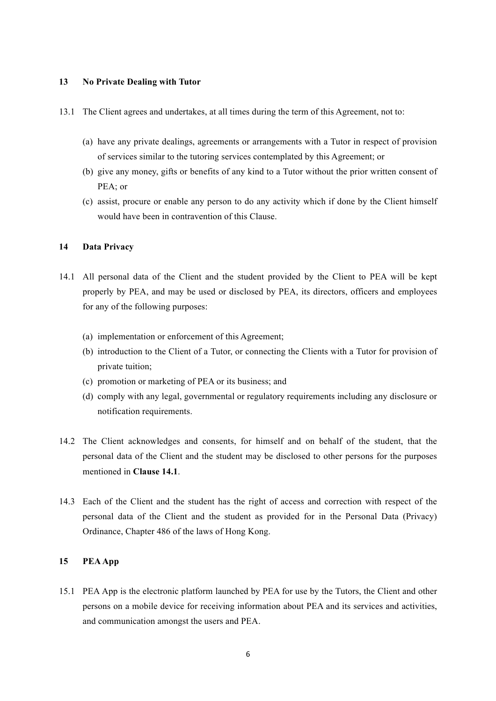#### **13 No Private Dealing with Tutor**

- 13.1 The Client agrees and undertakes, at all times during the term of this Agreement, not to:
	- (a) have any private dealings, agreements or arrangements with a Tutor in respect of provision of services similar to the tutoring services contemplated by this Agreement; or
	- (b) give any money, gifts or benefits of any kind to a Tutor without the prior written consent of PEA; or
	- (c) assist, procure or enable any person to do any activity which if done by the Client himself would have been in contravention of this Clause.

# **14 Data Privacy**

- 14.1 All personal data of the Client and the student provided by the Client to PEA will be kept properly by PEA, and may be used or disclosed by PEA, its directors, officers and employees for any of the following purposes:
	- (a) implementation or enforcement of this Agreement;
	- (b) introduction to the Client of a Tutor, or connecting the Clients with a Tutor for provision of private tuition;
	- (c) promotion or marketing of PEA or its business; and
	- (d) comply with any legal, governmental or regulatory requirements including any disclosure or notification requirements.
- 14.2 The Client acknowledges and consents, for himself and on behalf of the student, that the personal data of the Client and the student may be disclosed to other persons for the purposes mentioned in **Clause 14.1**.
- 14.3 Each of the Client and the student has the right of access and correction with respect of the personal data of the Client and the student as provided for in the Personal Data (Privacy) Ordinance, Chapter 486 of the laws of Hong Kong.

# **15 PEA App**

15.1 PEA App is the electronic platform launched by PEA for use by the Tutors, the Client and other persons on a mobile device for receiving information about PEA and its services and activities, and communication amongst the users and PEA.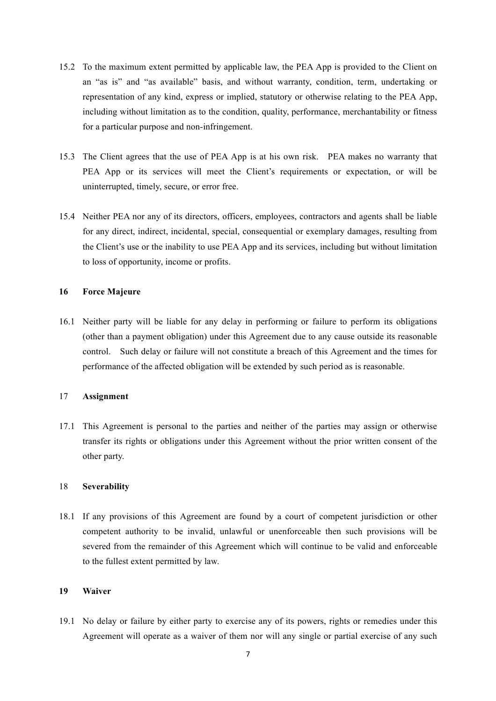- 15.2 To the maximum extent permitted by applicable law, the PEA App is provided to the Client on an "as is" and "as available" basis, and without warranty, condition, term, undertaking or representation of any kind, express or implied, statutory or otherwise relating to the PEA App, including without limitation as to the condition, quality, performance, merchantability or fitness for a particular purpose and non-infringement.
- 15.3 The Client agrees that the use of PEA App is at his own risk. PEA makes no warranty that PEA App or its services will meet the Client's requirements or expectation, or will be uninterrupted, timely, secure, or error free.
- 15.4 Neither PEA nor any of its directors, officers, employees, contractors and agents shall be liable for any direct, indirect, incidental, special, consequential or exemplary damages, resulting from the Client's use or the inability to use PEA App and its services, including but without limitation to loss of opportunity, income or profits.

# **16 Force Majeure**

16.1 Neither party will be liable for any delay in performing or failure to perform its obligations (other than a payment obligation) under this Agreement due to any cause outside its reasonable control. Such delay or failure will not constitute a breach of this Agreement and the times for performance of the affected obligation will be extended by such period as is reasonable.

# 17 **Assignment**

17.1 This Agreement is personal to the parties and neither of the parties may assign or otherwise transfer its rights or obligations under this Agreement without the prior written consent of the other party.

# 18 **Severability**

18.1 If any provisions of this Agreement are found by a court of competent jurisdiction or other competent authority to be invalid, unlawful or unenforceable then such provisions will be severed from the remainder of this Agreement which will continue to be valid and enforceable to the fullest extent permitted by law.

# **19 Waiver**

19.1 No delay or failure by either party to exercise any of its powers, rights or remedies under this Agreement will operate as a waiver of them nor will any single or partial exercise of any such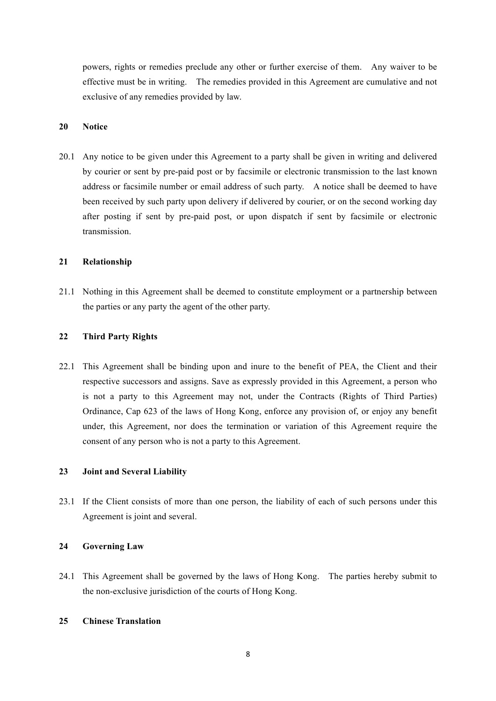powers, rights or remedies preclude any other or further exercise of them. Any waiver to be effective must be in writing. The remedies provided in this Agreement are cumulative and not exclusive of any remedies provided by law.

### **20 Notice**

20.1 Any notice to be given under this Agreement to a party shall be given in writing and delivered by courier or sent by pre-paid post or by facsimile or electronic transmission to the last known address or facsimile number or email address of such party. A notice shall be deemed to have been received by such party upon delivery if delivered by courier, or on the second working day after posting if sent by pre-paid post, or upon dispatch if sent by facsimile or electronic transmission.

# **21 Relationship**

21.1 Nothing in this Agreement shall be deemed to constitute employment or a partnership between the parties or any party the agent of the other party.

### **22 Third Party Rights**

22.1 This Agreement shall be binding upon and inure to the benefit of PEA, the Client and their respective successors and assigns. Save as expressly provided in this Agreement, a person who is not a party to this Agreement may not, under the Contracts (Rights of Third Parties) Ordinance, Cap 623 of the laws of Hong Kong, enforce any provision of, or enjoy any benefit under, this Agreement, nor does the termination or variation of this Agreement require the consent of any person who is not a party to this Agreement.

# **23 Joint and Several Liability**

23.1 If the Client consists of more than one person, the liability of each of such persons under this Agreement is joint and several.

# **24 Governing Law**

24.1 This Agreement shall be governed by the laws of Hong Kong. The parties hereby submit to the non-exclusive jurisdiction of the courts of Hong Kong.

# **25 Chinese Translation**